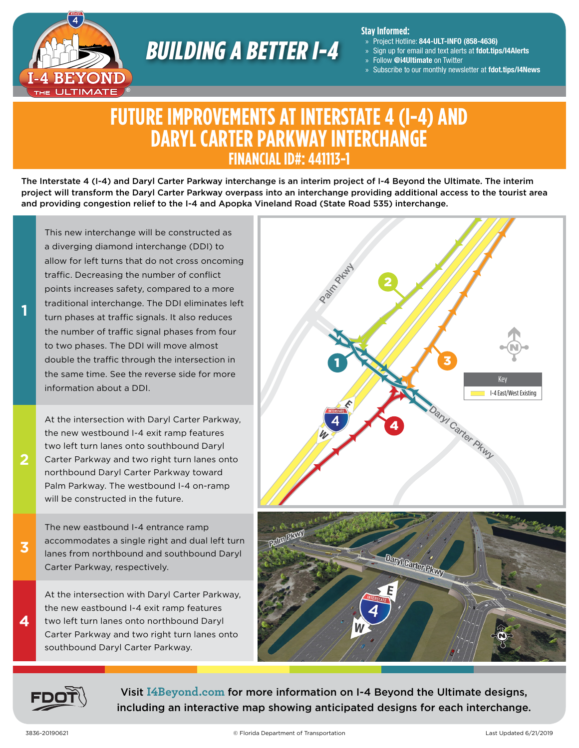

# BUILDING A BETTER I-4

#### **Stay Informed:**

- » Project Hotline: 844-ULT-INFO (858-4636)
- » Sign up for email and text alerts at fdot.tips/I4Alerts
- » Follow @i4Ultimate on Twitter
- » Subscribe to our monthly newsletter at fdot.tips/I4News

## **FUTURE IMPROVEMENTS AT INTERSTATE 4 (I-4) AND DARYL CARTER PARKWAY INTERCHANGE FINANCIAL ID#: 441113-1**

The Interstate 4 (I-4) and Daryl Carter Parkway interchange is an interim project of I-4 Beyond the Ultimate. The interim project will transform the Daryl Carter Parkway overpass into an interchange providing additional access to the tourist area and providing congestion relief to the I-4 and Apopka Vineland Road (State Road 535) interchange.

This new interchange will be constructed as a diverging diamond interchange (DDI) to allow for left turns that do not cross oncoming traffic. Decreasing the number of conflict points increases safety, compared to a more traditional interchange. The DDI eliminates left turn phases at traffic signals. It also reduces the number of traffic signal phases from four to two phases. The DDI will move almost double the traffic through the intersection in the same time. See the reverse side for more information about a DDI.

At the intersection with Daryl Carter Parkway, the new westbound I-4 exit ramp features two left turn lanes onto southbound Daryl Carter Parkway and two right turn lanes onto northbound Daryl Carter Parkway toward Palm Parkway. The westbound I-4 on-ramp will be constructed in the future.

The new eastbound I-4 entrance ramp accommodates a single right and dual left turn lanes from northbound and southbound Daryl Carter Parkway, respectively.

At the intersection with Daryl Carter Parkway, the new eastbound I-4 exit ramp features two left turn lanes onto northbound Daryl Carter Parkway and two right turn lanes onto southbound Daryl Carter Parkway.





Visit **[I4Beyond.com](https://i4beyond.com)** for more information on I-4 Beyond the Ultimate designs, including an interactive map showing anticipated designs for each interchange.

**2**

**1**

**3**

**4**